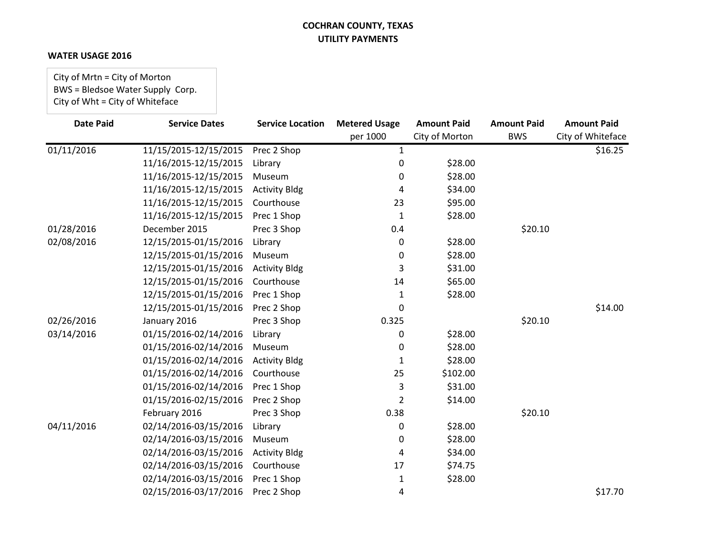### **WATER USAGE 2016**

City of Mrtn = City of Morton BWS = Bledsoe Water Supply Corp. City of Wht = City of Whiteface

| <b>Date Paid</b> | <b>Service Dates</b>  | <b>Service Location</b> | <b>Metered Usage</b> | <b>Amount Paid</b> | <b>Amount Paid</b> | <b>Amount Paid</b> |
|------------------|-----------------------|-------------------------|----------------------|--------------------|--------------------|--------------------|
|                  |                       |                         | per 1000             | City of Morton     | <b>BWS</b>         | City of Whiteface  |
| 01/11/2016       | 11/15/2015-12/15/2015 | Prec 2 Shop             | 1                    |                    |                    | \$16.25            |
|                  | 11/16/2015-12/15/2015 | Library                 | 0                    | \$28.00            |                    |                    |
|                  | 11/16/2015-12/15/2015 | Museum                  | 0                    | \$28.00            |                    |                    |
|                  | 11/16/2015-12/15/2015 | <b>Activity Bldg</b>    | 4                    | \$34.00            |                    |                    |
|                  | 11/16/2015-12/15/2015 | Courthouse              | 23                   | \$95.00            |                    |                    |
|                  | 11/16/2015-12/15/2015 | Prec 1 Shop             | 1                    | \$28.00            |                    |                    |
| 01/28/2016       | December 2015         | Prec 3 Shop             | 0.4                  |                    | \$20.10            |                    |
| 02/08/2016       | 12/15/2015-01/15/2016 | Library                 | 0                    | \$28.00            |                    |                    |
|                  | 12/15/2015-01/15/2016 | Museum                  | 0                    | \$28.00            |                    |                    |
|                  | 12/15/2015-01/15/2016 | <b>Activity Bldg</b>    | 3                    | \$31.00            |                    |                    |
|                  | 12/15/2015-01/15/2016 | Courthouse              | 14                   | \$65.00            |                    |                    |
|                  | 12/15/2015-01/15/2016 | Prec 1 Shop             | 1                    | \$28.00            |                    |                    |
|                  | 12/15/2015-01/15/2016 | Prec 2 Shop             | 0                    |                    |                    | \$14.00            |
| 02/26/2016       | January 2016          | Prec 3 Shop             | 0.325                |                    | \$20.10            |                    |
| 03/14/2016       | 01/15/2016-02/14/2016 | Library                 | 0                    | \$28.00            |                    |                    |
|                  | 01/15/2016-02/14/2016 | Museum                  | 0                    | \$28.00            |                    |                    |
|                  | 01/15/2016-02/14/2016 | <b>Activity Bldg</b>    | 1                    | \$28.00            |                    |                    |
|                  | 01/15/2016-02/14/2016 | Courthouse              | 25                   | \$102.00           |                    |                    |
|                  | 01/15/2016-02/14/2016 | Prec 1 Shop             | 3                    | \$31.00            |                    |                    |
|                  | 01/15/2016-02/15/2016 | Prec 2 Shop             | 2                    | \$14.00            |                    |                    |
|                  | February 2016         | Prec 3 Shop             | 0.38                 |                    | \$20.10            |                    |
| 04/11/2016       | 02/14/2016-03/15/2016 | Library                 | 0                    | \$28.00            |                    |                    |
|                  | 02/14/2016-03/15/2016 | Museum                  | 0                    | \$28.00            |                    |                    |
|                  | 02/14/2016-03/15/2016 | <b>Activity Bldg</b>    | 4                    | \$34.00            |                    |                    |
|                  | 02/14/2016-03/15/2016 | Courthouse              | 17                   | \$74.75            |                    |                    |
|                  | 02/14/2016-03/15/2016 | Prec 1 Shop             | 1                    | \$28.00            |                    |                    |
|                  | 02/15/2016-03/17/2016 | Prec 2 Shop             | 4                    |                    |                    | \$17.70            |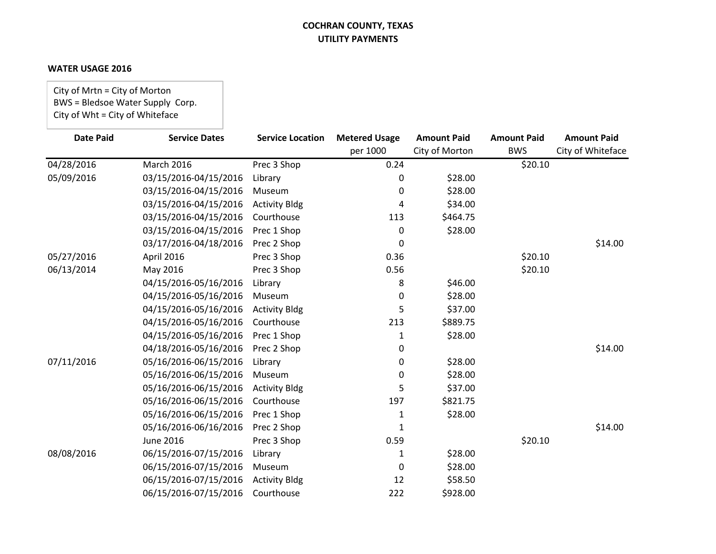### **WATER USAGE 2016**

City of Mrtn = City of Morton BWS = Bledsoe Water Supply Corp. City of Wht = City of Whiteface

| <b>Date Paid</b> | <b>Service Dates</b>  | <b>Service Location</b> | <b>Metered Usage</b> | <b>Amount Paid</b> | <b>Amount Paid</b> | <b>Amount Paid</b> |
|------------------|-----------------------|-------------------------|----------------------|--------------------|--------------------|--------------------|
|                  |                       |                         | per 1000             | City of Morton     | <b>BWS</b>         | City of Whiteface  |
| 04/28/2016       | March 2016            | Prec 3 Shop             | 0.24                 |                    | \$20.10            |                    |
| 05/09/2016       | 03/15/2016-04/15/2016 | Library                 | 0                    | \$28.00            |                    |                    |
|                  | 03/15/2016-04/15/2016 | Museum                  | 0                    | \$28.00            |                    |                    |
|                  | 03/15/2016-04/15/2016 | <b>Activity Bldg</b>    | 4                    | \$34.00            |                    |                    |
|                  | 03/15/2016-04/15/2016 | Courthouse              | 113                  | \$464.75           |                    |                    |
|                  | 03/15/2016-04/15/2016 | Prec 1 Shop             | 0                    | \$28.00            |                    |                    |
|                  | 03/17/2016-04/18/2016 | Prec 2 Shop             | 0                    |                    |                    | \$14.00            |
| 05/27/2016       | April 2016            | Prec 3 Shop             | 0.36                 |                    | \$20.10            |                    |
| 06/13/2014       | May 2016              | Prec 3 Shop             | 0.56                 |                    | \$20.10            |                    |
|                  | 04/15/2016-05/16/2016 | Library                 | 8                    | \$46.00            |                    |                    |
|                  | 04/15/2016-05/16/2016 | Museum                  | 0                    | \$28.00            |                    |                    |
|                  | 04/15/2016-05/16/2016 | <b>Activity Bldg</b>    | 5                    | \$37.00            |                    |                    |
|                  | 04/15/2016-05/16/2016 | Courthouse              | 213                  | \$889.75           |                    |                    |
|                  | 04/15/2016-05/16/2016 | Prec 1 Shop             | 1                    | \$28.00            |                    |                    |
|                  | 04/18/2016-05/16/2016 | Prec 2 Shop             | 0                    |                    |                    | \$14.00            |
| 07/11/2016       | 05/16/2016-06/15/2016 | Library                 | 0                    | \$28.00            |                    |                    |
|                  | 05/16/2016-06/15/2016 | Museum                  | 0                    | \$28.00            |                    |                    |
|                  | 05/16/2016-06/15/2016 | <b>Activity Bldg</b>    | 5                    | \$37.00            |                    |                    |
|                  | 05/16/2016-06/15/2016 | Courthouse              | 197                  | \$821.75           |                    |                    |
|                  | 05/16/2016-06/15/2016 | Prec 1 Shop             | 1                    | \$28.00            |                    |                    |
|                  | 05/16/2016-06/16/2016 | Prec 2 Shop             | 1                    |                    |                    | \$14.00            |
|                  | <b>June 2016</b>      | Prec 3 Shop             | 0.59                 |                    | \$20.10            |                    |
| 08/08/2016       | 06/15/2016-07/15/2016 | Library                 | 1                    | \$28.00            |                    |                    |
|                  | 06/15/2016-07/15/2016 | Museum                  | $\Omega$             | \$28.00            |                    |                    |
|                  | 06/15/2016-07/15/2016 | <b>Activity Bldg</b>    | 12                   | \$58.50            |                    |                    |
|                  | 06/15/2016-07/15/2016 | Courthouse              | 222                  | \$928.00           |                    |                    |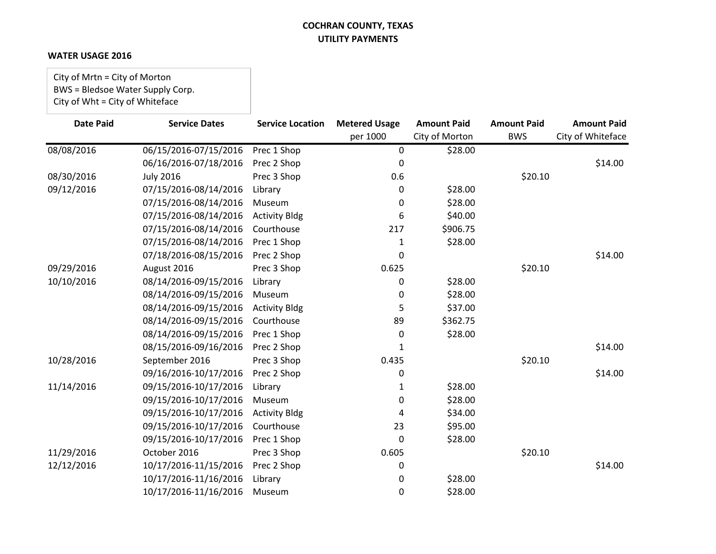### **WATER USAGE 2016**

City of Mrtn = City of Morton BWS = Bledsoe Water Supply Corp. City of Wht = City of Whiteface

| <b>Date Paid</b> | <b>Service Dates</b>  | <b>Service Location</b> | <b>Metered Usage</b> | <b>Amount Paid</b> | <b>Amount Paid</b> | <b>Amount Paid</b> |
|------------------|-----------------------|-------------------------|----------------------|--------------------|--------------------|--------------------|
|                  |                       |                         | per 1000             | City of Morton     | <b>BWS</b>         | City of Whiteface  |
| 08/08/2016       | 06/15/2016-07/15/2016 | Prec 1 Shop             | 0                    | \$28.00            |                    |                    |
|                  | 06/16/2016-07/18/2016 | Prec 2 Shop             | 0                    |                    |                    | \$14.00            |
| 08/30/2016       | <b>July 2016</b>      | Prec 3 Shop             | 0.6                  |                    | \$20.10            |                    |
| 09/12/2016       | 07/15/2016-08/14/2016 | Library                 | 0                    | \$28.00            |                    |                    |
|                  | 07/15/2016-08/14/2016 | Museum                  | 0                    | \$28.00            |                    |                    |
|                  | 07/15/2016-08/14/2016 | <b>Activity Bldg</b>    | 6                    | \$40.00            |                    |                    |
|                  | 07/15/2016-08/14/2016 | Courthouse              | 217                  | \$906.75           |                    |                    |
|                  | 07/15/2016-08/14/2016 | Prec 1 Shop             | 1                    | \$28.00            |                    |                    |
|                  | 07/18/2016-08/15/2016 | Prec 2 Shop             | 0                    |                    |                    | \$14.00            |
| 09/29/2016       | August 2016           | Prec 3 Shop             | 0.625                |                    | \$20.10            |                    |
| 10/10/2016       | 08/14/2016-09/15/2016 | Library                 | 0                    | \$28.00            |                    |                    |
|                  | 08/14/2016-09/15/2016 | Museum                  | 0                    | \$28.00            |                    |                    |
|                  | 08/14/2016-09/15/2016 | <b>Activity Bldg</b>    | 5                    | \$37.00            |                    |                    |
|                  | 08/14/2016-09/15/2016 | Courthouse              | 89                   | \$362.75           |                    |                    |
|                  | 08/14/2016-09/15/2016 | Prec 1 Shop             | 0                    | \$28.00            |                    |                    |
|                  | 08/15/2016-09/16/2016 | Prec 2 Shop             |                      |                    |                    | \$14.00            |
| 10/28/2016       | September 2016        | Prec 3 Shop             | 0.435                |                    | \$20.10            |                    |
|                  | 09/16/2016-10/17/2016 | Prec 2 Shop             | 0                    |                    |                    | \$14.00            |
| 11/14/2016       | 09/15/2016-10/17/2016 | Library                 | 1                    | \$28.00            |                    |                    |
|                  | 09/15/2016-10/17/2016 | Museum                  | 0                    | \$28.00            |                    |                    |
|                  | 09/15/2016-10/17/2016 | <b>Activity Bldg</b>    | 4                    | \$34.00            |                    |                    |
|                  | 09/15/2016-10/17/2016 | Courthouse              | 23                   | \$95.00            |                    |                    |
|                  | 09/15/2016-10/17/2016 | Prec 1 Shop             | 0                    | \$28.00            |                    |                    |
| 11/29/2016       | October 2016          | Prec 3 Shop             | 0.605                |                    | \$20.10            |                    |
| 12/12/2016       | 10/17/2016-11/15/2016 | Prec 2 Shop             | 0                    |                    |                    | \$14.00            |
|                  | 10/17/2016-11/16/2016 | Library                 | 0                    | \$28.00            |                    |                    |
|                  | 10/17/2016-11/16/2016 | Museum                  | 0                    | \$28.00            |                    |                    |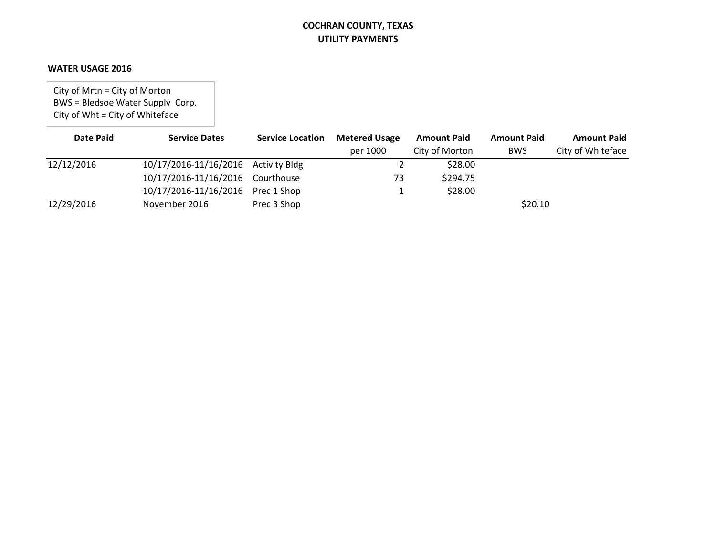#### **WATER USAGE 2016**

City of Mrtn = City of Morton BWS = Bledsoe Water Supply Corp. City of Wht = City of Whiteface

| Date Paid  | <b>Service Dates</b>                | <b>Service Location</b> | <b>Metered Usage</b> | <b>Amount Paid</b> | <b>Amount Paid</b> | <b>Amount Paid</b> |
|------------|-------------------------------------|-------------------------|----------------------|--------------------|--------------------|--------------------|
|            |                                     |                         | per 1000             | City of Morton     | <b>BWS</b>         | City of Whiteface  |
| 12/12/2016 | 10/17/2016-11/16/2016 Activity Bldg |                         |                      | \$28.00            |                    |                    |
|            | 10/17/2016-11/16/2016 Courthouse    |                         | 73                   | \$294.75           |                    |                    |
|            | 10/17/2016-11/16/2016 Prec 1 Shop   |                         |                      | \$28.00            |                    |                    |
| 12/29/2016 | November 2016                       | Prec 3 Shop             |                      |                    | \$20.10            |                    |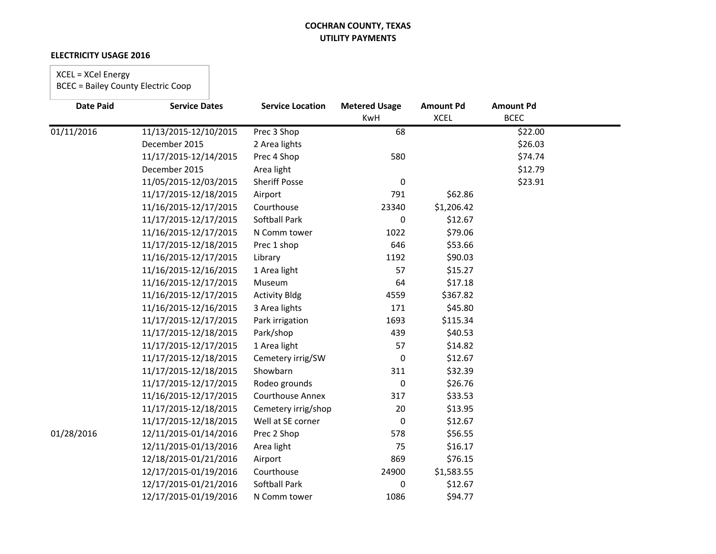### **ELECTRICITY USAGE 2016**

# XCEL = XCel Energy

| <b>Date Paid</b> | <b>Service Dates</b>  | <b>Service Location</b> | <b>Metered Usage</b> | <b>Amount Pd</b> | <b>Amount Pd</b> |  |
|------------------|-----------------------|-------------------------|----------------------|------------------|------------------|--|
|                  |                       |                         | KwH                  | <b>XCEL</b>      | <b>BCEC</b>      |  |
| 01/11/2016       | 11/13/2015-12/10/2015 | Prec 3 Shop             | 68                   |                  | \$22.00          |  |
|                  | December 2015         | 2 Area lights           |                      |                  | \$26.03          |  |
|                  | 11/17/2015-12/14/2015 | Prec 4 Shop             | 580                  |                  | \$74.74          |  |
|                  | December 2015         | Area light              |                      |                  | \$12.79          |  |
|                  | 11/05/2015-12/03/2015 | <b>Sheriff Posse</b>    | 0                    |                  | \$23.91          |  |
|                  | 11/17/2015-12/18/2015 | Airport                 | 791                  | \$62.86          |                  |  |
|                  | 11/16/2015-12/17/2015 | Courthouse              | 23340                | \$1,206.42       |                  |  |
|                  | 11/17/2015-12/17/2015 | Softball Park           | 0                    | \$12.67          |                  |  |
|                  | 11/16/2015-12/17/2015 | N Comm tower            | 1022                 | \$79.06          |                  |  |
|                  | 11/17/2015-12/18/2015 | Prec 1 shop             | 646                  | \$53.66          |                  |  |
|                  | 11/16/2015-12/17/2015 | Library                 | 1192                 | \$90.03          |                  |  |
|                  | 11/16/2015-12/16/2015 | 1 Area light            | 57                   | \$15.27          |                  |  |
|                  | 11/16/2015-12/17/2015 | Museum                  | 64                   | \$17.18          |                  |  |
|                  | 11/16/2015-12/17/2015 | <b>Activity Bldg</b>    | 4559                 | \$367.82         |                  |  |
|                  | 11/16/2015-12/16/2015 | 3 Area lights           | 171                  | \$45.80          |                  |  |
|                  | 11/17/2015-12/17/2015 | Park irrigation         | 1693                 | \$115.34         |                  |  |
|                  | 11/17/2015-12/18/2015 | Park/shop               | 439                  | \$40.53          |                  |  |
|                  | 11/17/2015-12/17/2015 | 1 Area light            | 57                   | \$14.82          |                  |  |
|                  | 11/17/2015-12/18/2015 | Cemetery irrig/SW       | 0                    | \$12.67          |                  |  |
|                  | 11/17/2015-12/18/2015 | Showbarn                | 311                  | \$32.39          |                  |  |
|                  | 11/17/2015-12/17/2015 | Rodeo grounds           | 0                    | \$26.76          |                  |  |
|                  | 11/16/2015-12/17/2015 | <b>Courthouse Annex</b> | 317                  | \$33.53          |                  |  |
|                  | 11/17/2015-12/18/2015 | Cemetery irrig/shop     | 20                   | \$13.95          |                  |  |
|                  | 11/17/2015-12/18/2015 | Well at SE corner       | 0                    | \$12.67          |                  |  |
| 01/28/2016       | 12/11/2015-01/14/2016 | Prec 2 Shop             | 578                  | \$56.55          |                  |  |
|                  | 12/11/2015-01/13/2016 | Area light              | 75                   | \$16.17          |                  |  |
|                  | 12/18/2015-01/21/2016 | Airport                 | 869                  | \$76.15          |                  |  |
|                  | 12/17/2015-01/19/2016 | Courthouse              | 24900                | \$1,583.55       |                  |  |
|                  | 12/17/2015-01/21/2016 | <b>Softball Park</b>    | 0                    | \$12.67          |                  |  |
|                  | 12/17/2015-01/19/2016 | N Comm tower            | 1086                 | \$94.77          |                  |  |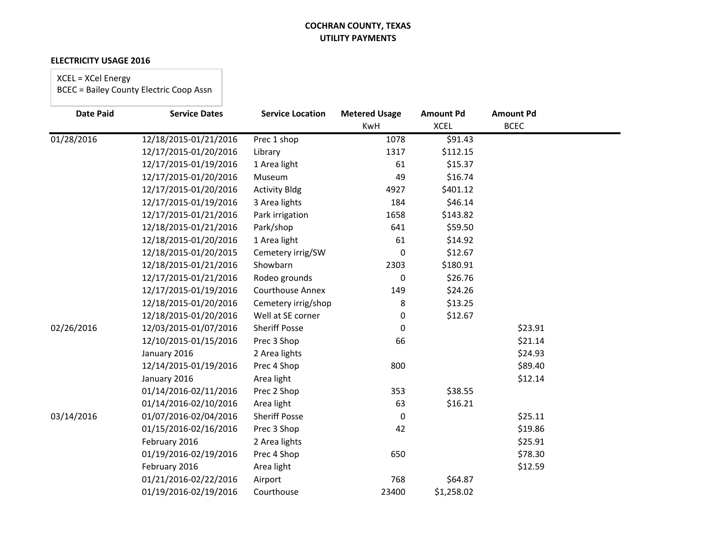#### **ELECTRICITY USAGE 2016**

# XCEL = XCel Energy

| <b>Date Paid</b> | <b>Service Dates</b>  | <b>Service Location</b> | <b>Metered Usage</b> | <b>Amount Pd</b> | <b>Amount Pd</b> |  |
|------------------|-----------------------|-------------------------|----------------------|------------------|------------------|--|
|                  |                       |                         | <b>KwH</b>           | <b>XCEL</b>      | <b>BCEC</b>      |  |
| 01/28/2016       | 12/18/2015-01/21/2016 | Prec 1 shop             | 1078                 | \$91.43          |                  |  |
|                  | 12/17/2015-01/20/2016 | Library                 | 1317                 | \$112.15         |                  |  |
|                  | 12/17/2015-01/19/2016 | 1 Area light            | 61                   | \$15.37          |                  |  |
|                  | 12/17/2015-01/20/2016 | Museum                  | 49                   | \$16.74          |                  |  |
|                  | 12/17/2015-01/20/2016 | <b>Activity Bldg</b>    | 4927                 | \$401.12         |                  |  |
|                  | 12/17/2015-01/19/2016 | 3 Area lights           | 184                  | \$46.14          |                  |  |
|                  | 12/17/2015-01/21/2016 | Park irrigation         | 1658                 | \$143.82         |                  |  |
|                  | 12/18/2015-01/21/2016 | Park/shop               | 641                  | \$59.50          |                  |  |
|                  | 12/18/2015-01/20/2016 | 1 Area light            | 61                   | \$14.92          |                  |  |
|                  | 12/18/2015-01/20/2015 | Cemetery irrig/SW       | 0                    | \$12.67          |                  |  |
|                  | 12/18/2015-01/21/2016 | Showbarn                | 2303                 | \$180.91         |                  |  |
|                  | 12/17/2015-01/21/2016 | Rodeo grounds           | 0                    | \$26.76          |                  |  |
|                  | 12/17/2015-01/19/2016 | <b>Courthouse Annex</b> | 149                  | \$24.26          |                  |  |
|                  | 12/18/2015-01/20/2016 | Cemetery irrig/shop     | 8                    | \$13.25          |                  |  |
|                  | 12/18/2015-01/20/2016 | Well at SE corner       | 0                    | \$12.67          |                  |  |
| 02/26/2016       | 12/03/2015-01/07/2016 | <b>Sheriff Posse</b>    | 0                    |                  | \$23.91          |  |
|                  | 12/10/2015-01/15/2016 | Prec 3 Shop             | 66                   |                  | \$21.14          |  |
|                  | January 2016          | 2 Area lights           |                      |                  | \$24.93          |  |
|                  | 12/14/2015-01/19/2016 | Prec 4 Shop             | 800                  |                  | \$89.40          |  |
|                  | January 2016          | Area light              |                      |                  | \$12.14          |  |
|                  | 01/14/2016-02/11/2016 | Prec 2 Shop             | 353                  | \$38.55          |                  |  |
|                  | 01/14/2016-02/10/2016 | Area light              | 63                   | \$16.21          |                  |  |
| 03/14/2016       | 01/07/2016-02/04/2016 | <b>Sheriff Posse</b>    | 0                    |                  | \$25.11          |  |
|                  | 01/15/2016-02/16/2016 | Prec 3 Shop             | 42                   |                  | \$19.86          |  |
|                  | February 2016         | 2 Area lights           |                      |                  | \$25.91          |  |
|                  | 01/19/2016-02/19/2016 | Prec 4 Shop             | 650                  |                  | \$78.30          |  |
|                  | February 2016         | Area light              |                      |                  | \$12.59          |  |
|                  | 01/21/2016-02/22/2016 | Airport                 | 768                  | \$64.87          |                  |  |
|                  | 01/19/2016-02/19/2016 | Courthouse              | 23400                | \$1,258.02       |                  |  |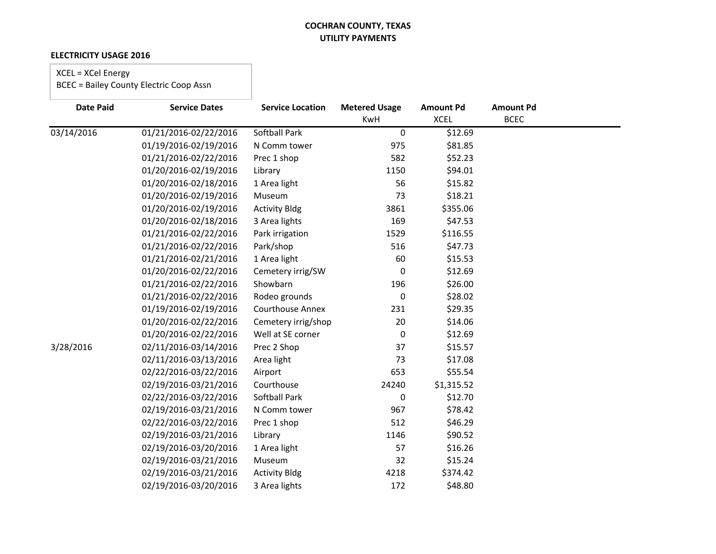### **ELECTRICITY USAGE 2016**

# XCEL = XCel Energy

| <b>Date Paid</b> | <b>Service Dates</b>  | <b>Service Location</b> | <b>Metered Usage</b><br>KwH | <b>Amount Pd</b><br><b>XCEL</b> | <b>Amount Pd</b><br><b>BCEC</b> |  |
|------------------|-----------------------|-------------------------|-----------------------------|---------------------------------|---------------------------------|--|
| 03/14/2016       | 01/21/2016-02/22/2016 | <b>Softball Park</b>    | $\pmb{0}$                   | \$12.69                         |                                 |  |
|                  | 01/19/2016-02/19/2016 | N Comm tower            | 975                         | \$81.85                         |                                 |  |
|                  | 01/21/2016-02/22/2016 | Prec 1 shop             | 582                         | \$52.23                         |                                 |  |
|                  | 01/20/2016-02/19/2016 | Library                 | 1150                        | \$94.01                         |                                 |  |
|                  | 01/20/2016-02/18/2016 | 1 Area light            | 56                          | \$15.82                         |                                 |  |
|                  | 01/20/2016-02/19/2016 | Museum                  | 73                          | \$18.21                         |                                 |  |
|                  | 01/20/2016-02/19/2016 | <b>Activity Bldg</b>    | 3861                        | \$355.06                        |                                 |  |
|                  | 01/20/2016-02/18/2016 | 3 Area lights           | 169                         | \$47.53                         |                                 |  |
|                  | 01/21/2016-02/22/2016 | Park irrigation         | 1529                        | \$116.55                        |                                 |  |
|                  | 01/21/2016-02/22/2016 | Park/shop               | 516                         | \$47.73                         |                                 |  |
|                  | 01/21/2016-02/21/2016 | 1 Area light            | 60                          | \$15.53                         |                                 |  |
|                  | 01/20/2016-02/22/2016 | Cemetery irrig/SW       | 0                           | \$12.69                         |                                 |  |
|                  | 01/21/2016-02/22/2016 | Showbarn                | 196                         | \$26.00                         |                                 |  |
|                  | 01/21/2016-02/22/2016 | Rodeo grounds           | 0                           | \$28.02                         |                                 |  |
|                  | 01/19/2016-02/19/2016 | <b>Courthouse Annex</b> | 231                         | \$29.35                         |                                 |  |
|                  | 01/20/2016-02/22/2016 | Cemetery irrig/shop     | 20                          | \$14.06                         |                                 |  |
|                  | 01/20/2016-02/22/2016 | Well at SE corner       | $\boldsymbol{0}$            | \$12.69                         |                                 |  |
| 3/28/2016        | 02/11/2016-03/14/2016 | Prec 2 Shop             | 37                          | \$15.57                         |                                 |  |
|                  | 02/11/2016-03/13/2016 | Area light              | 73                          | \$17.08                         |                                 |  |
|                  | 02/22/2016-03/22/2016 | Airport                 | 653                         | \$55.54                         |                                 |  |
|                  | 02/19/2016-03/21/2016 | Courthouse              | 24240                       | \$1,315.52                      |                                 |  |
|                  | 02/22/2016-03/22/2016 | Softball Park           | $\mathbf 0$                 | \$12.70                         |                                 |  |
|                  | 02/19/2016-03/21/2016 | N Comm tower            | 967                         | \$78.42                         |                                 |  |
|                  | 02/22/2016-03/22/2016 | Prec 1 shop             | 512                         | \$46.29                         |                                 |  |
|                  | 02/19/2016-03/21/2016 | Library                 | 1146                        | \$90.52                         |                                 |  |
|                  | 02/19/2016-03/20/2016 | 1 Area light            | 57                          | \$16.26                         |                                 |  |
|                  | 02/19/2016-03/21/2016 | Museum                  | 32                          | \$15.24                         |                                 |  |
|                  | 02/19/2016-03/21/2016 | <b>Activity Bldg</b>    | 4218                        | \$374.42                        |                                 |  |
|                  | 02/19/2016-03/20/2016 | 3 Area lights           | 172                         | \$48.80                         |                                 |  |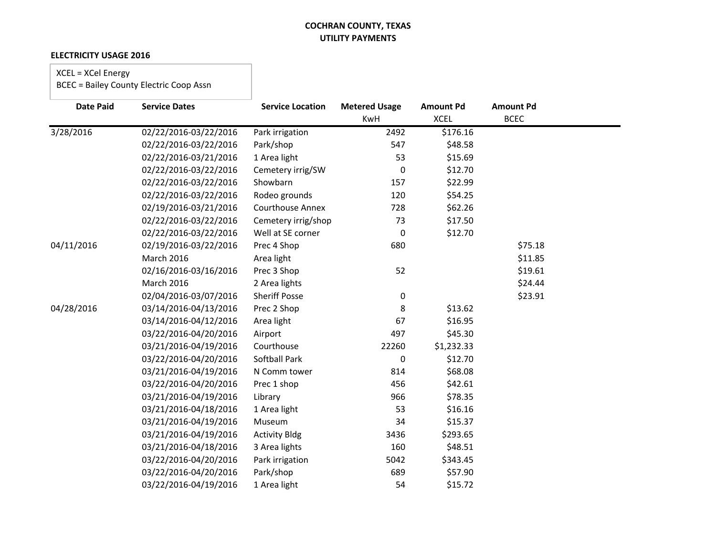### **ELECTRICITY USAGE 2016**

# XCEL = XCel Energy

| <b>Date Paid</b> | <b>Service Dates</b>  | <b>Service Location</b> | <b>Metered Usage</b> | <b>Amount Pd</b> | <b>Amount Pd</b> |  |
|------------------|-----------------------|-------------------------|----------------------|------------------|------------------|--|
|                  |                       |                         | KwH                  | <b>XCEL</b>      | <b>BCEC</b>      |  |
| 3/28/2016        | 02/22/2016-03/22/2016 | Park irrigation         | 2492                 | \$176.16         |                  |  |
|                  | 02/22/2016-03/22/2016 | Park/shop               | 547                  | \$48.58          |                  |  |
|                  | 02/22/2016-03/21/2016 | 1 Area light            | 53                   | \$15.69          |                  |  |
|                  | 02/22/2016-03/22/2016 | Cemetery irrig/SW       | $\mathbf 0$          | \$12.70          |                  |  |
|                  | 02/22/2016-03/22/2016 | Showbarn                | 157                  | \$22.99          |                  |  |
|                  | 02/22/2016-03/22/2016 | Rodeo grounds           | 120                  | \$54.25          |                  |  |
|                  | 02/19/2016-03/21/2016 | <b>Courthouse Annex</b> | 728                  | \$62.26          |                  |  |
|                  | 02/22/2016-03/22/2016 | Cemetery irrig/shop     | 73                   | \$17.50          |                  |  |
|                  | 02/22/2016-03/22/2016 | Well at SE corner       | $\mathbf 0$          | \$12.70          |                  |  |
| 04/11/2016       | 02/19/2016-03/22/2016 | Prec 4 Shop             | 680                  |                  | \$75.18          |  |
|                  | <b>March 2016</b>     | Area light              |                      |                  | \$11.85          |  |
|                  | 02/16/2016-03/16/2016 | Prec 3 Shop             | 52                   |                  | \$19.61          |  |
|                  | March 2016            | 2 Area lights           |                      |                  | \$24.44          |  |
|                  | 02/04/2016-03/07/2016 | <b>Sheriff Posse</b>    | 0                    |                  | \$23.91          |  |
| 04/28/2016       | 03/14/2016-04/13/2016 | Prec 2 Shop             | 8                    | \$13.62          |                  |  |
|                  | 03/14/2016-04/12/2016 | Area light              | 67                   | \$16.95          |                  |  |
|                  | 03/22/2016-04/20/2016 | Airport                 | 497                  | \$45.30          |                  |  |
|                  | 03/21/2016-04/19/2016 | Courthouse              | 22260                | \$1,232.33       |                  |  |
|                  | 03/22/2016-04/20/2016 | <b>Softball Park</b>    | $\mathbf 0$          | \$12.70          |                  |  |
|                  | 03/21/2016-04/19/2016 | N Comm tower            | 814                  | \$68.08          |                  |  |
|                  | 03/22/2016-04/20/2016 | Prec 1 shop             | 456                  | \$42.61          |                  |  |
|                  | 03/21/2016-04/19/2016 | Library                 | 966                  | \$78.35          |                  |  |
|                  | 03/21/2016-04/18/2016 | 1 Area light            | 53                   | \$16.16          |                  |  |
|                  | 03/21/2016-04/19/2016 | Museum                  | 34                   | \$15.37          |                  |  |
|                  | 03/21/2016-04/19/2016 | <b>Activity Bldg</b>    | 3436                 | \$293.65         |                  |  |
|                  | 03/21/2016-04/18/2016 | 3 Area lights           | 160                  | \$48.51          |                  |  |
|                  | 03/22/2016-04/20/2016 | Park irrigation         | 5042                 | \$343.45         |                  |  |
|                  | 03/22/2016-04/20/2016 | Park/shop               | 689                  | \$57.90          |                  |  |
|                  | 03/22/2016-04/19/2016 | 1 Area light            | 54                   | \$15.72          |                  |  |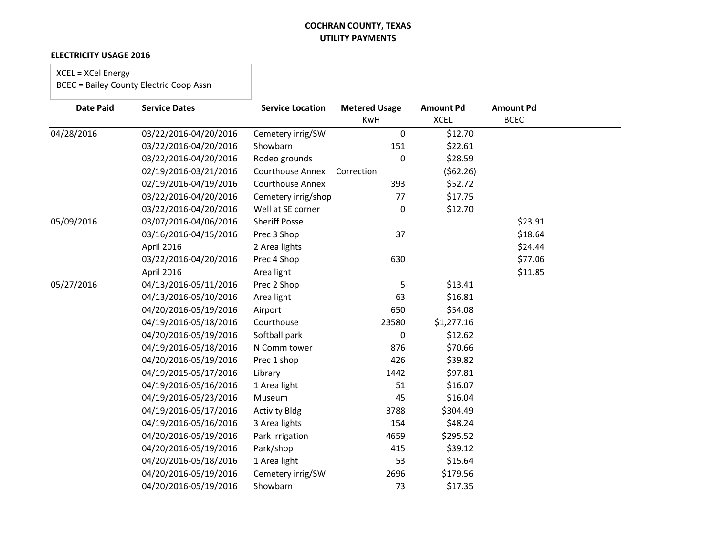### **ELECTRICITY USAGE 2016**

# XCEL = XCel Energy

| <b>Date Paid</b> | <b>Service Dates</b>  | <b>Service Location</b> | <b>Metered Usage</b> | <b>Amount Pd</b> | <b>Amount Pd</b> |  |
|------------------|-----------------------|-------------------------|----------------------|------------------|------------------|--|
|                  |                       |                         | KwH                  | <b>XCEL</b>      | <b>BCEC</b>      |  |
| 04/28/2016       | 03/22/2016-04/20/2016 | Cemetery irrig/SW       | $\pmb{0}$            | \$12.70          |                  |  |
|                  | 03/22/2016-04/20/2016 | Showbarn                | 151                  | \$22.61          |                  |  |
|                  | 03/22/2016-04/20/2016 | Rodeo grounds           | $\mathbf 0$          | \$28.59          |                  |  |
|                  | 02/19/2016-03/21/2016 | <b>Courthouse Annex</b> | Correction           | (562.26)         |                  |  |
|                  | 02/19/2016-04/19/2016 | <b>Courthouse Annex</b> | 393                  | \$52.72          |                  |  |
|                  | 03/22/2016-04/20/2016 | Cemetery irrig/shop     | 77                   | \$17.75          |                  |  |
|                  | 03/22/2016-04/20/2016 | Well at SE corner       | $\mathbf 0$          | \$12.70          |                  |  |
| 05/09/2016       | 03/07/2016-04/06/2016 | <b>Sheriff Posse</b>    |                      |                  | \$23.91          |  |
|                  | 03/16/2016-04/15/2016 | Prec 3 Shop             | 37                   |                  | \$18.64          |  |
|                  | April 2016            | 2 Area lights           |                      |                  | \$24.44          |  |
|                  | 03/22/2016-04/20/2016 | Prec 4 Shop             | 630                  |                  | \$77.06          |  |
|                  | April 2016            | Area light              |                      |                  | \$11.85          |  |
| 05/27/2016       | 04/13/2016-05/11/2016 | Prec 2 Shop             | 5                    | \$13.41          |                  |  |
|                  | 04/13/2016-05/10/2016 | Area light              | 63                   | \$16.81          |                  |  |
|                  | 04/20/2016-05/19/2016 | Airport                 | 650                  | \$54.08          |                  |  |
|                  | 04/19/2016-05/18/2016 | Courthouse              | 23580                | \$1,277.16       |                  |  |
|                  | 04/20/2016-05/19/2016 | Softball park           | 0                    | \$12.62          |                  |  |
|                  | 04/19/2016-05/18/2016 | N Comm tower            | 876                  | \$70.66          |                  |  |
|                  | 04/20/2016-05/19/2016 | Prec 1 shop             | 426                  | \$39.82          |                  |  |
|                  | 04/19/2015-05/17/2016 | Library                 | 1442                 | \$97.81          |                  |  |
|                  | 04/19/2016-05/16/2016 | 1 Area light            | 51                   | \$16.07          |                  |  |
|                  | 04/19/2016-05/23/2016 | Museum                  | 45                   | \$16.04          |                  |  |
|                  | 04/19/2016-05/17/2016 | <b>Activity Bldg</b>    | 3788                 | \$304.49         |                  |  |
|                  | 04/19/2016-05/16/2016 | 3 Area lights           | 154                  | \$48.24          |                  |  |
|                  | 04/20/2016-05/19/2016 | Park irrigation         | 4659                 | \$295.52         |                  |  |
|                  | 04/20/2016-05/19/2016 | Park/shop               | 415                  | \$39.12          |                  |  |
|                  | 04/20/2016-05/18/2016 | 1 Area light            | 53                   | \$15.64          |                  |  |
|                  | 04/20/2016-05/19/2016 | Cemetery irrig/SW       | 2696                 | \$179.56         |                  |  |
|                  | 04/20/2016-05/19/2016 | Showbarn                | 73                   | \$17.35          |                  |  |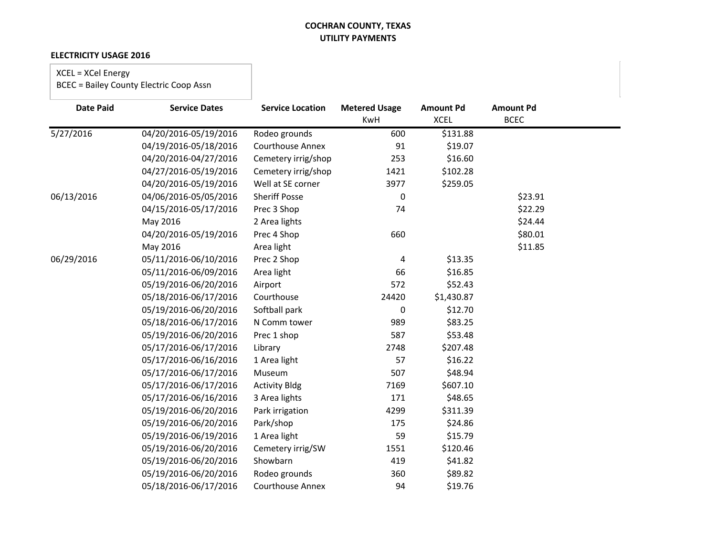### **ELECTRICITY USAGE 2016**

# XCEL = XCel Energy

| <b>Date Paid</b> | <b>Service Dates</b>  | <b>Service Location</b> | <b>Metered Usage</b> | <b>Amount Pd</b> | <b>Amount Pd</b> |  |
|------------------|-----------------------|-------------------------|----------------------|------------------|------------------|--|
|                  |                       |                         | KwH                  | <b>XCEL</b>      | <b>BCEC</b>      |  |
| 5/27/2016        | 04/20/2016-05/19/2016 | Rodeo grounds           | 600                  | \$131.88         |                  |  |
|                  | 04/19/2016-05/18/2016 | <b>Courthouse Annex</b> | 91                   | \$19.07          |                  |  |
|                  | 04/20/2016-04/27/2016 | Cemetery irrig/shop     | 253                  | \$16.60          |                  |  |
|                  | 04/27/2016-05/19/2016 | Cemetery irrig/shop     | 1421                 | \$102.28         |                  |  |
|                  | 04/20/2016-05/19/2016 | Well at SE corner       | 3977                 | \$259.05         |                  |  |
| 06/13/2016       | 04/06/2016-05/05/2016 | <b>Sheriff Posse</b>    | 0                    |                  | \$23.91          |  |
|                  | 04/15/2016-05/17/2016 | Prec 3 Shop             | 74                   |                  | \$22.29          |  |
|                  | May 2016              | 2 Area lights           |                      |                  | \$24.44          |  |
|                  | 04/20/2016-05/19/2016 | Prec 4 Shop             | 660                  |                  | \$80.01          |  |
|                  | May 2016              | Area light              |                      |                  | \$11.85          |  |
| 06/29/2016       | 05/11/2016-06/10/2016 | Prec 2 Shop             | 4                    | \$13.35          |                  |  |
|                  | 05/11/2016-06/09/2016 | Area light              | 66                   | \$16.85          |                  |  |
|                  | 05/19/2016-06/20/2016 | Airport                 | 572                  | \$52.43          |                  |  |
|                  | 05/18/2016-06/17/2016 | Courthouse              | 24420                | \$1,430.87       |                  |  |
|                  | 05/19/2016-06/20/2016 | Softball park           | $\boldsymbol{0}$     | \$12.70          |                  |  |
|                  | 05/18/2016-06/17/2016 | N Comm tower            | 989                  | \$83.25          |                  |  |
|                  | 05/19/2016-06/20/2016 | Prec 1 shop             | 587                  | \$53.48          |                  |  |
|                  | 05/17/2016-06/17/2016 | Library                 | 2748                 | \$207.48         |                  |  |
|                  | 05/17/2016-06/16/2016 | 1 Area light            | 57                   | \$16.22          |                  |  |
|                  | 05/17/2016-06/17/2016 | Museum                  | 507                  | \$48.94          |                  |  |
|                  | 05/17/2016-06/17/2016 | <b>Activity Bldg</b>    | 7169                 | \$607.10         |                  |  |
|                  | 05/17/2016-06/16/2016 | 3 Area lights           | 171                  | \$48.65          |                  |  |
|                  | 05/19/2016-06/20/2016 | Park irrigation         | 4299                 | \$311.39         |                  |  |
|                  | 05/19/2016-06/20/2016 | Park/shop               | 175                  | \$24.86          |                  |  |
|                  | 05/19/2016-06/19/2016 | 1 Area light            | 59                   | \$15.79          |                  |  |
|                  | 05/19/2016-06/20/2016 | Cemetery irrig/SW       | 1551                 | \$120.46         |                  |  |
|                  | 05/19/2016-06/20/2016 | Showbarn                | 419                  | \$41.82          |                  |  |
|                  | 05/19/2016-06/20/2016 | Rodeo grounds           | 360                  | \$89.82          |                  |  |
|                  | 05/18/2016-06/17/2016 | <b>Courthouse Annex</b> | 94                   | \$19.76          |                  |  |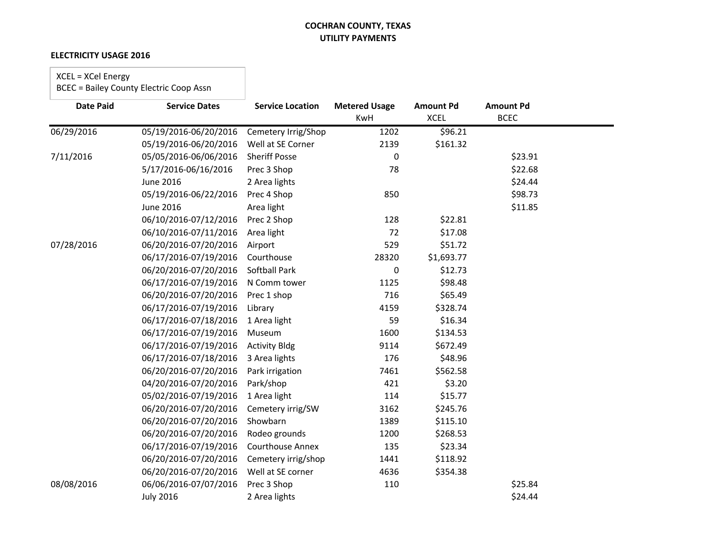### **ELECTRICITY USAGE 2016**

# XCEL = XCel Energy

| <b>Date Paid</b> | <b>Service Dates</b>  | <b>Service Location</b> | <b>Metered Usage</b><br>KwH | <b>Amount Pd</b><br><b>XCEL</b> | <b>Amount Pd</b><br><b>BCEC</b> |  |
|------------------|-----------------------|-------------------------|-----------------------------|---------------------------------|---------------------------------|--|
| 06/29/2016       | 05/19/2016-06/20/2016 | Cemetery Irrig/Shop     | 1202                        | \$96.21                         |                                 |  |
|                  | 05/19/2016-06/20/2016 | Well at SE Corner       | 2139                        | \$161.32                        |                                 |  |
| 7/11/2016        | 05/05/2016-06/06/2016 | <b>Sheriff Posse</b>    | 0                           |                                 | \$23.91                         |  |
|                  | 5/17/2016-06/16/2016  | Prec 3 Shop             | 78                          |                                 | \$22.68                         |  |
|                  |                       |                         |                             |                                 | \$24.44                         |  |
|                  | <b>June 2016</b>      | 2 Area lights           |                             |                                 |                                 |  |
|                  | 05/19/2016-06/22/2016 | Prec 4 Shop             | 850                         |                                 | \$98.73                         |  |
|                  | <b>June 2016</b>      | Area light              |                             |                                 | \$11.85                         |  |
|                  | 06/10/2016-07/12/2016 | Prec 2 Shop             | 128                         | \$22.81                         |                                 |  |
|                  | 06/10/2016-07/11/2016 | Area light              | 72                          | \$17.08                         |                                 |  |
| 07/28/2016       | 06/20/2016-07/20/2016 | Airport                 | 529                         | \$51.72                         |                                 |  |
|                  | 06/17/2016-07/19/2016 | Courthouse              | 28320                       | \$1,693.77                      |                                 |  |
|                  | 06/20/2016-07/20/2016 | Softball Park           | 0                           | \$12.73                         |                                 |  |
|                  | 06/17/2016-07/19/2016 | N Comm tower            | 1125                        | \$98.48                         |                                 |  |
|                  | 06/20/2016-07/20/2016 | Prec 1 shop             | 716                         | \$65.49                         |                                 |  |
|                  | 06/17/2016-07/19/2016 | Library                 | 4159                        | \$328.74                        |                                 |  |
|                  | 06/17/2016-07/18/2016 | 1 Area light            | 59                          | \$16.34                         |                                 |  |
|                  | 06/17/2016-07/19/2016 | Museum                  | 1600                        | \$134.53                        |                                 |  |
|                  | 06/17/2016-07/19/2016 | <b>Activity Bldg</b>    | 9114                        | \$672.49                        |                                 |  |
|                  | 06/17/2016-07/18/2016 | 3 Area lights           | 176                         | \$48.96                         |                                 |  |
|                  | 06/20/2016-07/20/2016 | Park irrigation         | 7461                        | \$562.58                        |                                 |  |
|                  | 04/20/2016-07/20/2016 | Park/shop               | 421                         | \$3.20                          |                                 |  |
|                  | 05/02/2016-07/19/2016 | 1 Area light            | 114                         | \$15.77                         |                                 |  |
|                  | 06/20/2016-07/20/2016 | Cemetery irrig/SW       | 3162                        | \$245.76                        |                                 |  |
|                  | 06/20/2016-07/20/2016 | Showbarn                | 1389                        | \$115.10                        |                                 |  |
|                  | 06/20/2016-07/20/2016 | Rodeo grounds           | 1200                        | \$268.53                        |                                 |  |
|                  | 06/17/2016-07/19/2016 | <b>Courthouse Annex</b> | 135                         | \$23.34                         |                                 |  |
|                  | 06/20/2016-07/20/2016 | Cemetery irrig/shop     | 1441                        | \$118.92                        |                                 |  |
|                  | 06/20/2016-07/20/2016 | Well at SE corner       | 4636                        | \$354.38                        |                                 |  |
| 08/08/2016       | 06/06/2016-07/07/2016 | Prec 3 Shop             | 110                         |                                 | \$25.84                         |  |
|                  | <b>July 2016</b>      | 2 Area lights           |                             |                                 | \$24.44                         |  |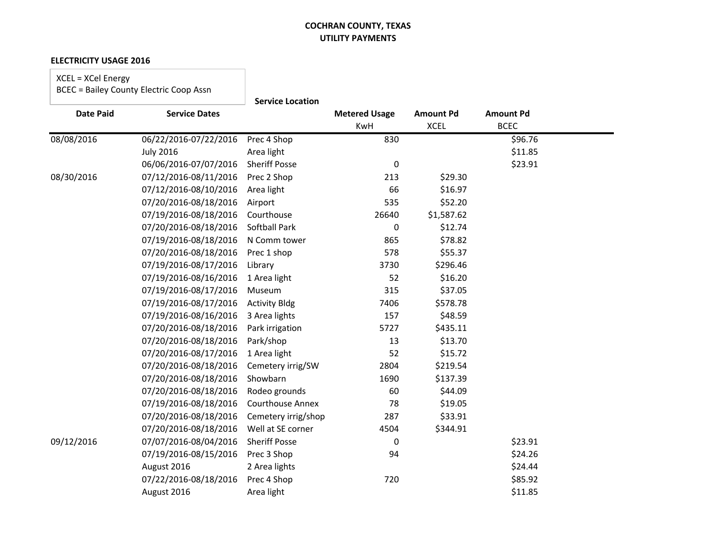#### **ELECTRICITY USAGE 2016**

XCEL = XCel Energy BCEC = Bailey County Electric Coop Assn

|                  |                       | <b>Service Location</b> |                             |                                 |                                 |  |
|------------------|-----------------------|-------------------------|-----------------------------|---------------------------------|---------------------------------|--|
| <b>Date Paid</b> | <b>Service Dates</b>  |                         | <b>Metered Usage</b><br>KwH | <b>Amount Pd</b><br><b>XCEL</b> | <b>Amount Pd</b><br><b>BCEC</b> |  |
| 08/08/2016       | 06/22/2016-07/22/2016 | Prec 4 Shop             | 830                         |                                 | \$96.76                         |  |
|                  | <b>July 2016</b>      | Area light              |                             |                                 | \$11.85                         |  |
|                  | 06/06/2016-07/07/2016 | <b>Sheriff Posse</b>    | 0                           |                                 | \$23.91                         |  |
| 08/30/2016       | 07/12/2016-08/11/2016 | Prec 2 Shop             | 213                         | \$29.30                         |                                 |  |
|                  | 07/12/2016-08/10/2016 | Area light              | 66                          | \$16.97                         |                                 |  |
|                  | 07/20/2016-08/18/2016 | Airport                 | 535                         | \$52.20                         |                                 |  |
|                  | 07/19/2016-08/18/2016 | Courthouse              | 26640                       | \$1,587.62                      |                                 |  |
|                  | 07/20/2016-08/18/2016 | <b>Softball Park</b>    | 0                           | \$12.74                         |                                 |  |
|                  | 07/19/2016-08/18/2016 | N Comm tower            | 865                         | \$78.82                         |                                 |  |
|                  | 07/20/2016-08/18/2016 | Prec 1 shop             | 578                         | \$55.37                         |                                 |  |
|                  | 07/19/2016-08/17/2016 | Library                 | 3730                        | \$296.46                        |                                 |  |
|                  | 07/19/2016-08/16/2016 | 1 Area light            | 52                          | \$16.20                         |                                 |  |
|                  | 07/19/2016-08/17/2016 | Museum                  | 315                         | \$37.05                         |                                 |  |
|                  | 07/19/2016-08/17/2016 | <b>Activity Bldg</b>    | 7406                        | \$578.78                        |                                 |  |
|                  | 07/19/2016-08/16/2016 | 3 Area lights           | 157                         | \$48.59                         |                                 |  |
|                  | 07/20/2016-08/18/2016 | Park irrigation         | 5727                        | \$435.11                        |                                 |  |
|                  | 07/20/2016-08/18/2016 | Park/shop               | 13                          | \$13.70                         |                                 |  |
|                  | 07/20/2016-08/17/2016 | 1 Area light            | 52                          | \$15.72                         |                                 |  |
|                  | 07/20/2016-08/18/2016 | Cemetery irrig/SW       | 2804                        | \$219.54                        |                                 |  |
|                  | 07/20/2016-08/18/2016 | Showbarn                | 1690                        | \$137.39                        |                                 |  |
|                  | 07/20/2016-08/18/2016 | Rodeo grounds           | 60                          | \$44.09                         |                                 |  |
|                  | 07/19/2016-08/18/2016 | <b>Courthouse Annex</b> | 78                          | \$19.05                         |                                 |  |
|                  | 07/20/2016-08/18/2016 | Cemetery irrig/shop     | 287                         | \$33.91                         |                                 |  |
|                  | 07/20/2016-08/18/2016 | Well at SE corner       | 4504                        | \$344.91                        |                                 |  |
| 09/12/2016       | 07/07/2016-08/04/2016 | <b>Sheriff Posse</b>    | 0                           |                                 | \$23.91                         |  |
|                  | 07/19/2016-08/15/2016 | Prec 3 Shop             | 94                          |                                 | \$24.26                         |  |
|                  | August 2016           | 2 Area lights           |                             |                                 | \$24.44                         |  |
|                  | 07/22/2016-08/18/2016 | Prec 4 Shop             | 720                         |                                 | \$85.92                         |  |
|                  | August 2016           | Area light              |                             |                                 | \$11.85                         |  |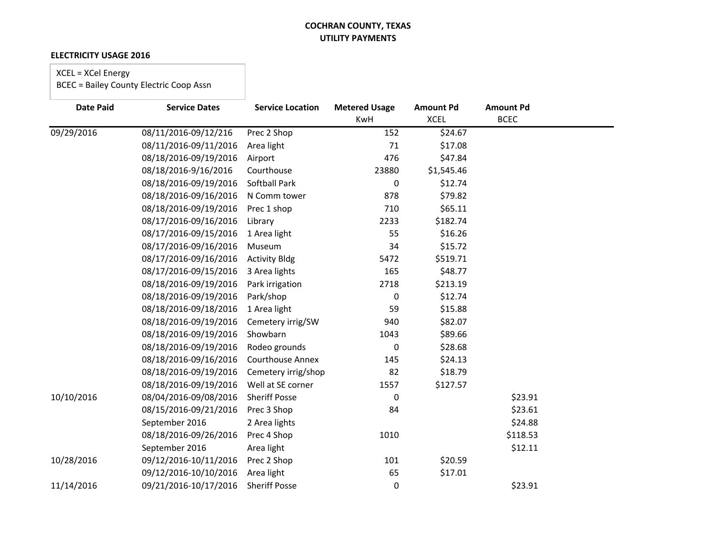### **ELECTRICITY USAGE 2016**

# XCEL = XCel Energy

| <b>Date Paid</b> | <b>Service Dates</b>  | <b>Service Location</b> | <b>Metered Usage</b><br><b>KwH</b> | <b>Amount Pd</b><br><b>XCEL</b> | <b>Amount Pd</b><br><b>BCEC</b> |  |
|------------------|-----------------------|-------------------------|------------------------------------|---------------------------------|---------------------------------|--|
| 09/29/2016       | 08/11/2016-09/12/216  | Prec 2 Shop             | 152                                | \$24.67                         |                                 |  |
|                  | 08/11/2016-09/11/2016 | Area light              | 71                                 | \$17.08                         |                                 |  |
|                  | 08/18/2016-09/19/2016 | Airport                 | 476                                | \$47.84                         |                                 |  |
|                  | 08/18/2016-9/16/2016  | Courthouse              | 23880                              | \$1,545.46                      |                                 |  |
|                  | 08/18/2016-09/19/2016 | Softball Park           | 0                                  | \$12.74                         |                                 |  |
|                  | 08/18/2016-09/16/2016 | N Comm tower            | 878                                | \$79.82                         |                                 |  |
|                  | 08/18/2016-09/19/2016 | Prec 1 shop             | 710                                | \$65.11                         |                                 |  |
|                  | 08/17/2016-09/16/2016 | Library                 | 2233                               | \$182.74                        |                                 |  |
|                  | 08/17/2016-09/15/2016 | 1 Area light            | 55                                 | \$16.26                         |                                 |  |
|                  | 08/17/2016-09/16/2016 | Museum                  | 34                                 | \$15.72                         |                                 |  |
|                  | 08/17/2016-09/16/2016 | <b>Activity Bldg</b>    | 5472                               | \$519.71                        |                                 |  |
|                  | 08/17/2016-09/15/2016 | 3 Area lights           | 165                                | \$48.77                         |                                 |  |
|                  | 08/18/2016-09/19/2016 | Park irrigation         | 2718                               | \$213.19                        |                                 |  |
|                  | 08/18/2016-09/19/2016 | Park/shop               | 0                                  | \$12.74                         |                                 |  |
|                  | 08/18/2016-09/18/2016 | 1 Area light            | 59                                 | \$15.88                         |                                 |  |
|                  | 08/18/2016-09/19/2016 | Cemetery irrig/SW       | 940                                | \$82.07                         |                                 |  |
|                  | 08/18/2016-09/19/2016 | Showbarn                | 1043                               | \$89.66                         |                                 |  |
|                  | 08/18/2016-09/19/2016 | Rodeo grounds           | 0                                  | \$28.68                         |                                 |  |
|                  | 08/18/2016-09/16/2016 | <b>Courthouse Annex</b> | 145                                | \$24.13                         |                                 |  |
|                  | 08/18/2016-09/19/2016 | Cemetery irrig/shop     | 82                                 | \$18.79                         |                                 |  |
|                  | 08/18/2016-09/19/2016 | Well at SE corner       | 1557                               | \$127.57                        |                                 |  |
| 10/10/2016       | 08/04/2016-09/08/2016 | <b>Sheriff Posse</b>    | 0                                  |                                 | \$23.91                         |  |
|                  | 08/15/2016-09/21/2016 | Prec 3 Shop             | 84                                 |                                 | \$23.61                         |  |
|                  | September 2016        | 2 Area lights           |                                    |                                 | \$24.88                         |  |
|                  | 08/18/2016-09/26/2016 | Prec 4 Shop             | 1010                               |                                 | \$118.53                        |  |
|                  | September 2016        | Area light              |                                    |                                 | \$12.11                         |  |
| 10/28/2016       | 09/12/2016-10/11/2016 | Prec 2 Shop             | 101                                | \$20.59                         |                                 |  |
|                  | 09/12/2016-10/10/2016 | Area light              | 65                                 | \$17.01                         |                                 |  |
| 11/14/2016       | 09/21/2016-10/17/2016 | <b>Sheriff Posse</b>    | 0                                  |                                 | \$23.91                         |  |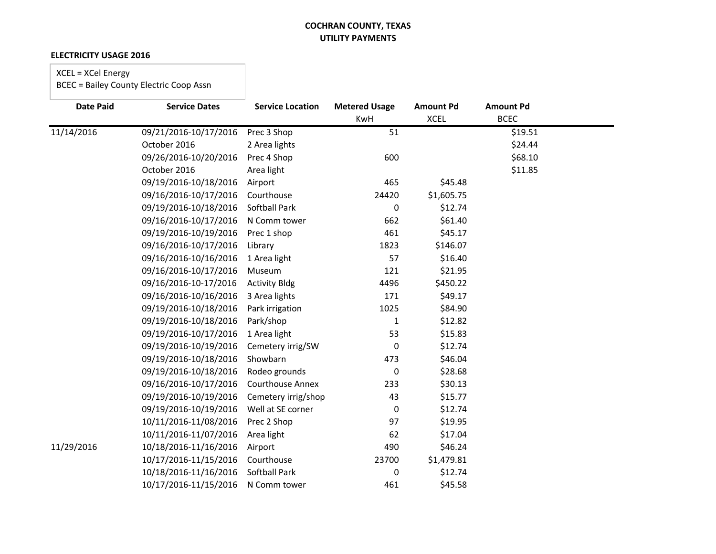### **ELECTRICITY USAGE 2016**

# XCEL = XCel Energy

| <b>Date Paid</b> | <b>Service Dates</b>  | <b>Service Location</b> | <b>Metered Usage</b> | <b>Amount Pd</b> | <b>Amount Pd</b> |  |
|------------------|-----------------------|-------------------------|----------------------|------------------|------------------|--|
|                  |                       |                         | <b>KwH</b>           | <b>XCEL</b>      | <b>BCEC</b>      |  |
| 11/14/2016       | 09/21/2016-10/17/2016 | Prec 3 Shop             | 51                   |                  | \$19.51          |  |
|                  | October 2016          | 2 Area lights           |                      |                  | \$24.44          |  |
|                  | 09/26/2016-10/20/2016 | Prec 4 Shop             | 600                  |                  | \$68.10          |  |
|                  | October 2016          | Area light              |                      |                  | \$11.85          |  |
|                  | 09/19/2016-10/18/2016 | Airport                 | 465                  | \$45.48          |                  |  |
|                  | 09/16/2016-10/17/2016 | Courthouse              | 24420                | \$1,605.75       |                  |  |
|                  | 09/19/2016-10/18/2016 | <b>Softball Park</b>    | 0                    | \$12.74          |                  |  |
|                  | 09/16/2016-10/17/2016 | N Comm tower            | 662                  | \$61.40          |                  |  |
|                  | 09/19/2016-10/19/2016 | Prec 1 shop             | 461                  | \$45.17          |                  |  |
|                  | 09/16/2016-10/17/2016 | Library                 | 1823                 | \$146.07         |                  |  |
|                  | 09/16/2016-10/16/2016 | 1 Area light            | 57                   | \$16.40          |                  |  |
|                  | 09/16/2016-10/17/2016 | Museum                  | 121                  | \$21.95          |                  |  |
|                  | 09/16/2016-10-17/2016 | <b>Activity Bldg</b>    | 4496                 | \$450.22         |                  |  |
|                  | 09/16/2016-10/16/2016 | 3 Area lights           | 171                  | \$49.17          |                  |  |
|                  | 09/19/2016-10/18/2016 | Park irrigation         | 1025                 | \$84.90          |                  |  |
|                  | 09/19/2016-10/18/2016 | Park/shop               | 1                    | \$12.82          |                  |  |
|                  | 09/19/2016-10/17/2016 | 1 Area light            | 53                   | \$15.83          |                  |  |
|                  | 09/19/2016-10/19/2016 | Cemetery irrig/SW       | 0                    | \$12.74          |                  |  |
|                  | 09/19/2016-10/18/2016 | Showbarn                | 473                  | \$46.04          |                  |  |
|                  | 09/19/2016-10/18/2016 | Rodeo grounds           | 0                    | \$28.68          |                  |  |
|                  | 09/16/2016-10/17/2016 | <b>Courthouse Annex</b> | 233                  | \$30.13          |                  |  |
|                  | 09/19/2016-10/19/2016 | Cemetery irrig/shop     | 43                   | \$15.77          |                  |  |
|                  | 09/19/2016-10/19/2016 | Well at SE corner       | 0                    | \$12.74          |                  |  |
|                  | 10/11/2016-11/08/2016 | Prec 2 Shop             | 97                   | \$19.95          |                  |  |
|                  | 10/11/2016-11/07/2016 | Area light              | 62                   | \$17.04          |                  |  |
| 11/29/2016       | 10/18/2016-11/16/2016 | Airport                 | 490                  | \$46.24          |                  |  |
|                  | 10/17/2016-11/15/2016 | Courthouse              | 23700                | \$1,479.81       |                  |  |
|                  | 10/18/2016-11/16/2016 | <b>Softball Park</b>    | 0                    | \$12.74          |                  |  |
|                  | 10/17/2016-11/15/2016 | N Comm tower            | 461                  | \$45.58          |                  |  |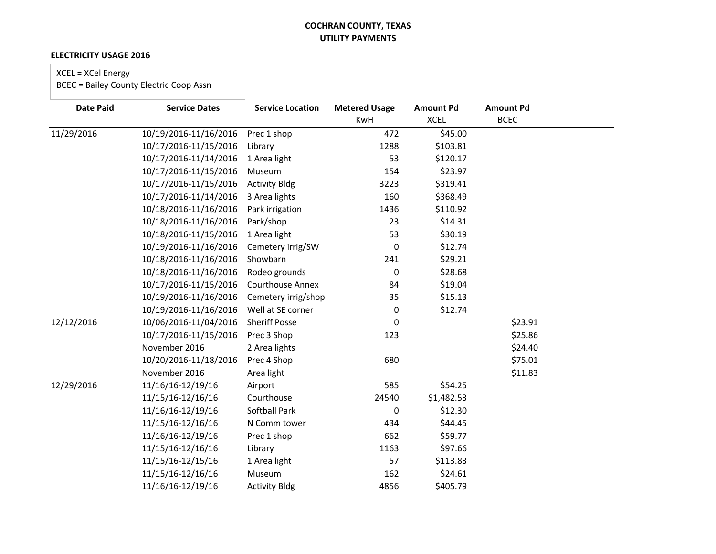### **ELECTRICITY USAGE 2016**

# XCEL = XCel Energy

| <b>Date Paid</b> | <b>Service Dates</b>  | <b>Service Location</b> | <b>Metered Usage</b><br>KwH | <b>Amount Pd</b><br><b>XCEL</b> | <b>Amount Pd</b><br><b>BCEC</b> |  |
|------------------|-----------------------|-------------------------|-----------------------------|---------------------------------|---------------------------------|--|
| 11/29/2016       | 10/19/2016-11/16/2016 | Prec 1 shop             | 472                         | \$45.00                         |                                 |  |
|                  | 10/17/2016-11/15/2016 | Library                 | 1288                        | \$103.81                        |                                 |  |
|                  | 10/17/2016-11/14/2016 | 1 Area light            | 53                          | \$120.17                        |                                 |  |
|                  | 10/17/2016-11/15/2016 | Museum                  | 154                         | \$23.97                         |                                 |  |
|                  | 10/17/2016-11/15/2016 | <b>Activity Bldg</b>    | 3223                        | \$319.41                        |                                 |  |
|                  | 10/17/2016-11/14/2016 | 3 Area lights           | 160                         | \$368.49                        |                                 |  |
|                  | 10/18/2016-11/16/2016 | Park irrigation         | 1436                        | \$110.92                        |                                 |  |
|                  | 10/18/2016-11/16/2016 | Park/shop               | 23                          | \$14.31                         |                                 |  |
|                  | 10/18/2016-11/15/2016 | 1 Area light            | 53                          | \$30.19                         |                                 |  |
|                  | 10/19/2016-11/16/2016 | Cemetery irrig/SW       | 0                           | \$12.74                         |                                 |  |
|                  | 10/18/2016-11/16/2016 | Showbarn                | 241                         | \$29.21                         |                                 |  |
|                  | 10/18/2016-11/16/2016 | Rodeo grounds           | 0                           | \$28.68                         |                                 |  |
|                  | 10/17/2016-11/15/2016 | <b>Courthouse Annex</b> | 84                          | \$19.04                         |                                 |  |
|                  | 10/19/2016-11/16/2016 | Cemetery irrig/shop     | 35                          | \$15.13                         |                                 |  |
|                  | 10/19/2016-11/16/2016 | Well at SE corner       | 0                           | \$12.74                         |                                 |  |
| 12/12/2016       | 10/06/2016-11/04/2016 | <b>Sheriff Posse</b>    | 0                           |                                 | \$23.91                         |  |
|                  | 10/17/2016-11/15/2016 | Prec 3 Shop             | 123                         |                                 | \$25.86                         |  |
|                  | November 2016         | 2 Area lights           |                             |                                 | \$24.40                         |  |
|                  | 10/20/2016-11/18/2016 | Prec 4 Shop             | 680                         |                                 | \$75.01                         |  |
|                  | November 2016         | Area light              |                             |                                 | \$11.83                         |  |
| 12/29/2016       | 11/16/16-12/19/16     | Airport                 | 585                         | \$54.25                         |                                 |  |
|                  | 11/15/16-12/16/16     | Courthouse              | 24540                       | \$1,482.53                      |                                 |  |
|                  | 11/16/16-12/19/16     | <b>Softball Park</b>    | 0                           | \$12.30                         |                                 |  |
|                  | 11/15/16-12/16/16     | N Comm tower            | 434                         | \$44.45                         |                                 |  |
|                  | 11/16/16-12/19/16     | Prec 1 shop             | 662                         | \$59.77                         |                                 |  |
|                  | 11/15/16-12/16/16     | Library                 | 1163                        | \$97.66                         |                                 |  |
|                  | 11/15/16-12/15/16     | 1 Area light            | 57                          | \$113.83                        |                                 |  |
|                  | 11/15/16-12/16/16     | Museum                  | 162                         | \$24.61                         |                                 |  |
|                  | 11/16/16-12/19/16     | <b>Activity Bldg</b>    | 4856                        | \$405.79                        |                                 |  |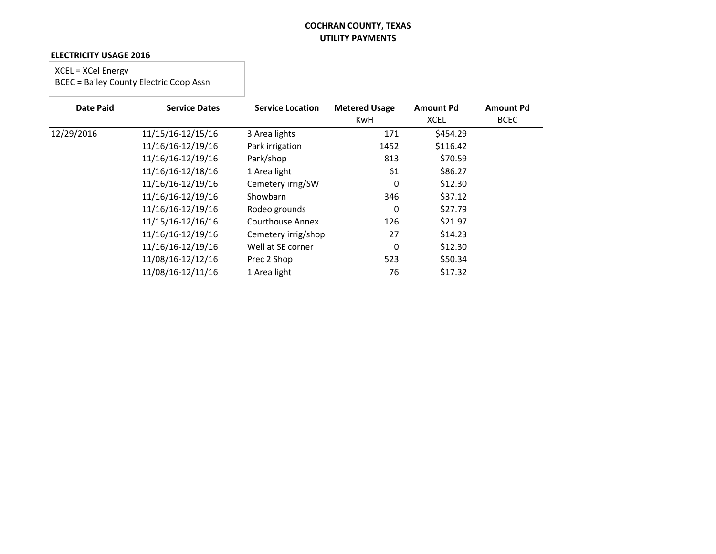#### **ELECTRICITY USAGE 2016**

# XCEL = XCel Energy

| <b>Date Paid</b> | <b>Service Dates</b> | <b>Service Location</b> | <b>Metered Usage</b><br><b>KwH</b> | <b>Amount Pd</b><br><b>XCEL</b> | <b>Amount Pd</b><br><b>BCEC</b> |
|------------------|----------------------|-------------------------|------------------------------------|---------------------------------|---------------------------------|
| 12/29/2016       | 11/15/16-12/15/16    | 3 Area lights           | 171                                | \$454.29                        |                                 |
|                  | 11/16/16-12/19/16    | Park irrigation         | 1452                               | \$116.42                        |                                 |
|                  | 11/16/16-12/19/16    | Park/shop               | 813                                | \$70.59                         |                                 |
|                  | 11/16/16-12/18/16    | 1 Area light            | 61                                 | \$86.27                         |                                 |
|                  | 11/16/16-12/19/16    | Cemetery irrig/SW       | 0                                  | \$12.30                         |                                 |
|                  | 11/16/16-12/19/16    | Showbarn                | 346                                | \$37.12                         |                                 |
|                  | 11/16/16-12/19/16    | Rodeo grounds           | 0                                  | \$27.79                         |                                 |
|                  | 11/15/16-12/16/16    | <b>Courthouse Annex</b> | 126                                | \$21.97                         |                                 |
|                  | 11/16/16-12/19/16    | Cemetery irrig/shop     | 27                                 | \$14.23                         |                                 |
|                  | 11/16/16-12/19/16    | Well at SE corner       | $\mathbf 0$                        | \$12.30                         |                                 |
|                  | 11/08/16-12/12/16    | Prec 2 Shop             | 523                                | \$50.34                         |                                 |
|                  | 11/08/16-12/11/16    | 1 Area light            | 76                                 | \$17.32                         |                                 |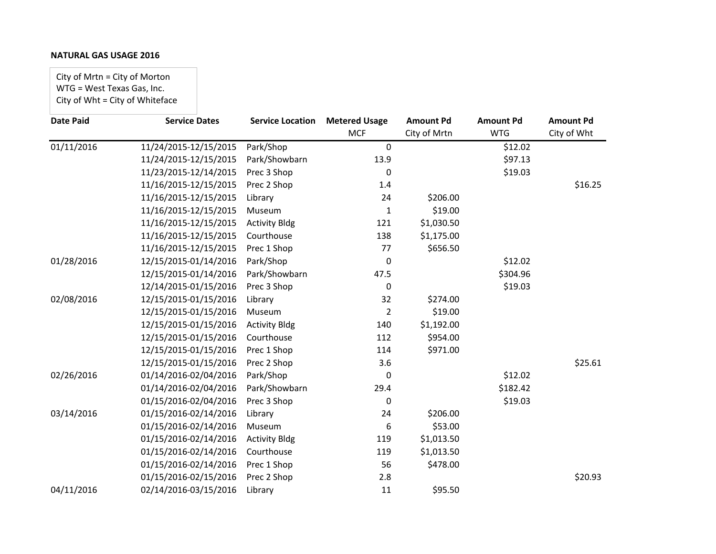City of Mrtn = City of Morton WTG = West Texas Gas, Inc. City of Wht = City of Whiteface

| <b>Date Paid</b> | <b>Service Dates</b>  | <b>Service Location</b> | <b>Metered Usage</b> | <b>Amount Pd</b> | <b>Amount Pd</b> | <b>Amount Pd</b> |
|------------------|-----------------------|-------------------------|----------------------|------------------|------------------|------------------|
|                  |                       |                         | <b>MCF</b>           | City of Mrtn     | <b>WTG</b>       | City of Wht      |
| 01/11/2016       | 11/24/2015-12/15/2015 | Park/Shop               | $\mathbf 0$          |                  | \$12.02          |                  |
|                  | 11/24/2015-12/15/2015 | Park/Showbarn           | 13.9                 |                  | \$97.13          |                  |
|                  | 11/23/2015-12/14/2015 | Prec 3 Shop             | 0                    |                  | \$19.03          |                  |
|                  | 11/16/2015-12/15/2015 | Prec 2 Shop             | 1.4                  |                  |                  | \$16.25          |
|                  | 11/16/2015-12/15/2015 | Library                 | 24                   | \$206.00         |                  |                  |
|                  | 11/16/2015-12/15/2015 | Museum                  | 1                    | \$19.00          |                  |                  |
|                  | 11/16/2015-12/15/2015 | <b>Activity Bldg</b>    | 121                  | \$1,030.50       |                  |                  |
|                  | 11/16/2015-12/15/2015 | Courthouse              | 138                  | \$1,175.00       |                  |                  |
|                  | 11/16/2015-12/15/2015 | Prec 1 Shop             | 77                   | \$656.50         |                  |                  |
| 01/28/2016       | 12/15/2015-01/14/2016 | Park/Shop               | 0                    |                  | \$12.02          |                  |
|                  | 12/15/2015-01/14/2016 | Park/Showbarn           | 47.5                 |                  | \$304.96         |                  |
|                  | 12/14/2015-01/15/2016 | Prec 3 Shop             | $\mathbf 0$          |                  | \$19.03          |                  |
| 02/08/2016       | 12/15/2015-01/15/2016 | Library                 | 32                   | \$274.00         |                  |                  |
|                  | 12/15/2015-01/15/2016 | Museum                  | 2                    | \$19.00          |                  |                  |
|                  | 12/15/2015-01/15/2016 | <b>Activity Bldg</b>    | 140                  | \$1,192.00       |                  |                  |
|                  | 12/15/2015-01/15/2016 | Courthouse              | 112                  | \$954.00         |                  |                  |
|                  | 12/15/2015-01/15/2016 | Prec 1 Shop             | 114                  | \$971.00         |                  |                  |
|                  | 12/15/2015-01/15/2016 | Prec 2 Shop             | 3.6                  |                  |                  | \$25.61          |
| 02/26/2016       | 01/14/2016-02/04/2016 | Park/Shop               | 0                    |                  | \$12.02          |                  |
|                  | 01/14/2016-02/04/2016 | Park/Showbarn           | 29.4                 |                  | \$182.42         |                  |
|                  | 01/15/2016-02/04/2016 | Prec 3 Shop             | 0                    |                  | \$19.03          |                  |
| 03/14/2016       | 01/15/2016-02/14/2016 | Library                 | 24                   | \$206.00         |                  |                  |
|                  | 01/15/2016-02/14/2016 | Museum                  | 6                    | \$53.00          |                  |                  |
|                  | 01/15/2016-02/14/2016 | <b>Activity Bldg</b>    | 119                  | \$1,013.50       |                  |                  |
|                  | 01/15/2016-02/14/2016 | Courthouse              | 119                  | \$1,013.50       |                  |                  |
|                  | 01/15/2016-02/14/2016 | Prec 1 Shop             | 56                   | \$478.00         |                  |                  |
|                  | 01/15/2016-02/15/2016 | Prec 2 Shop             | 2.8                  |                  |                  | \$20.93          |
| 04/11/2016       | 02/14/2016-03/15/2016 | Library                 | 11                   | \$95.50          |                  |                  |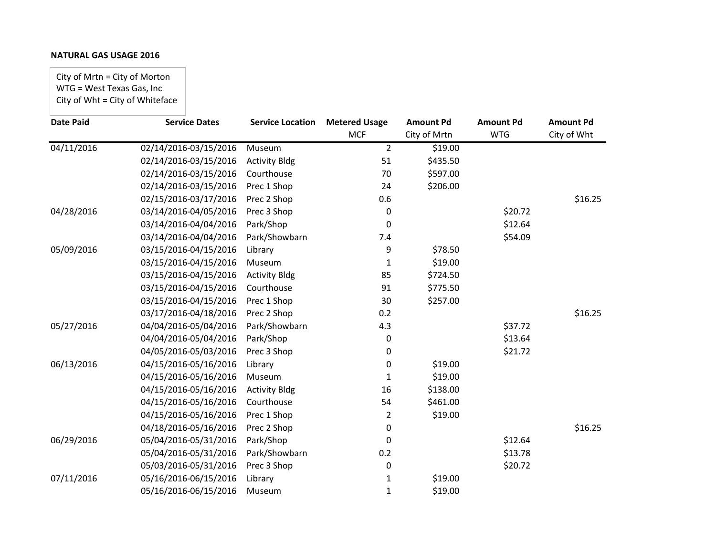City of Mrtn = City of Morton WTG = West Texas Gas, Inc City of Wht = City of Whiteface

| <b>Date Paid</b>        | <b>Service Dates</b>  | <b>Service Location</b> | <b>Metered Usage</b> | <b>Amount Pd</b> | <b>Amount Pd</b> | <b>Amount Pd</b> |
|-------------------------|-----------------------|-------------------------|----------------------|------------------|------------------|------------------|
|                         |                       |                         | <b>MCF</b>           | City of Mrtn     | <b>WTG</b>       | City of Wht      |
| $\overline{04/11/2016}$ | 02/14/2016-03/15/2016 | Museum                  | $\overline{2}$       | \$19.00          |                  |                  |
|                         | 02/14/2016-03/15/2016 | <b>Activity Bldg</b>    | 51                   | \$435.50         |                  |                  |
|                         | 02/14/2016-03/15/2016 | Courthouse              | 70                   | \$597.00         |                  |                  |
|                         | 02/14/2016-03/15/2016 | Prec 1 Shop             | 24                   | \$206.00         |                  |                  |
|                         | 02/15/2016-03/17/2016 | Prec 2 Shop             | 0.6                  |                  |                  | \$16.25          |
| 04/28/2016              | 03/14/2016-04/05/2016 | Prec 3 Shop             | 0                    |                  | \$20.72          |                  |
|                         | 03/14/2016-04/04/2016 | Park/Shop               | 0                    |                  | \$12.64          |                  |
|                         | 03/14/2016-04/04/2016 | Park/Showbarn           | 7.4                  |                  | \$54.09          |                  |
| 05/09/2016              | 03/15/2016-04/15/2016 | Library                 | 9                    | \$78.50          |                  |                  |
|                         | 03/15/2016-04/15/2016 | Museum                  | 1                    | \$19.00          |                  |                  |
|                         | 03/15/2016-04/15/2016 | <b>Activity Bldg</b>    | 85                   | \$724.50         |                  |                  |
|                         | 03/15/2016-04/15/2016 | Courthouse              | 91                   | \$775.50         |                  |                  |
|                         | 03/15/2016-04/15/2016 | Prec 1 Shop             | 30                   | \$257.00         |                  |                  |
|                         | 03/17/2016-04/18/2016 | Prec 2 Shop             | 0.2                  |                  |                  | \$16.25          |
| 05/27/2016              | 04/04/2016-05/04/2016 | Park/Showbarn           | 4.3                  |                  | \$37.72          |                  |
|                         | 04/04/2016-05/04/2016 | Park/Shop               | 0                    |                  | \$13.64          |                  |
|                         | 04/05/2016-05/03/2016 | Prec 3 Shop             | 0                    |                  | \$21.72          |                  |
| 06/13/2016              | 04/15/2016-05/16/2016 | Library                 | 0                    | \$19.00          |                  |                  |
|                         | 04/15/2016-05/16/2016 | Museum                  | 1                    | \$19.00          |                  |                  |
|                         | 04/15/2016-05/16/2016 | <b>Activity Bldg</b>    | 16                   | \$138.00         |                  |                  |
|                         | 04/15/2016-05/16/2016 | Courthouse              | 54                   | \$461.00         |                  |                  |
|                         | 04/15/2016-05/16/2016 | Prec 1 Shop             | 2                    | \$19.00          |                  |                  |
|                         | 04/18/2016-05/16/2016 | Prec 2 Shop             | 0                    |                  |                  | \$16.25          |
| 06/29/2016              | 05/04/2016-05/31/2016 | Park/Shop               | 0                    |                  | \$12.64          |                  |
|                         | 05/04/2016-05/31/2016 | Park/Showbarn           | 0.2                  |                  | \$13.78          |                  |
|                         | 05/03/2016-05/31/2016 | Prec 3 Shop             | 0                    |                  | \$20.72          |                  |
| 07/11/2016              | 05/16/2016-06/15/2016 | Library                 | 1                    | \$19.00          |                  |                  |
|                         | 05/16/2016-06/15/2016 | Museum                  | 1                    | \$19.00          |                  |                  |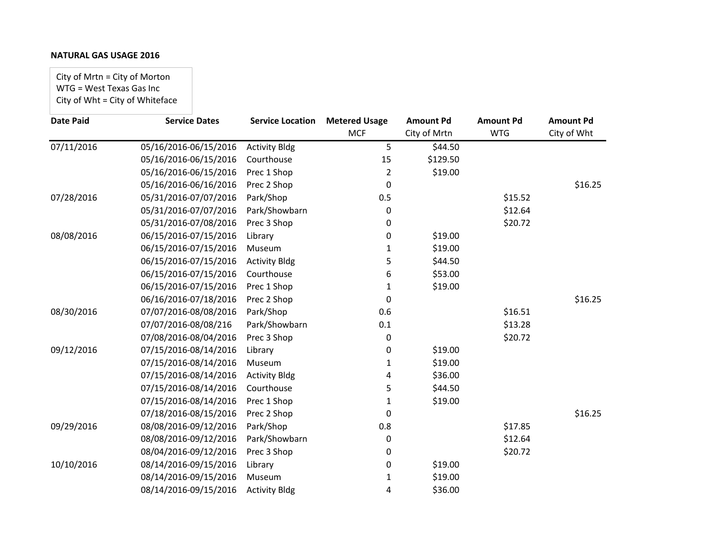City of Mrtn = City of Morton WTG = West Texas Gas Inc City of Wht = City of Whiteface

| <b>Date Paid</b>        | <b>Service Dates</b>  | <b>Service Location</b> | <b>Metered Usage</b> | <b>Amount Pd</b> | <b>Amount Pd</b> | <b>Amount Pd</b> |
|-------------------------|-----------------------|-------------------------|----------------------|------------------|------------------|------------------|
|                         |                       |                         | <b>MCF</b>           | City of Mrtn     | <b>WTG</b>       | City of Wht      |
| $\overline{07/11/2016}$ | 05/16/2016-06/15/2016 | <b>Activity Bldg</b>    | 5                    | \$44.50          |                  |                  |
|                         | 05/16/2016-06/15/2016 | Courthouse              | 15                   | \$129.50         |                  |                  |
|                         | 05/16/2016-06/15/2016 | Prec 1 Shop             | 2                    | \$19.00          |                  |                  |
|                         | 05/16/2016-06/16/2016 | Prec 2 Shop             | 0                    |                  |                  | \$16.25          |
| 07/28/2016              | 05/31/2016-07/07/2016 | Park/Shop               | 0.5                  |                  | \$15.52          |                  |
|                         | 05/31/2016-07/07/2016 | Park/Showbarn           | 0                    |                  | \$12.64          |                  |
|                         | 05/31/2016-07/08/2016 | Prec 3 Shop             | 0                    |                  | \$20.72          |                  |
| 08/08/2016              | 06/15/2016-07/15/2016 | Library                 | 0                    | \$19.00          |                  |                  |
|                         | 06/15/2016-07/15/2016 | Museum                  | 1                    | \$19.00          |                  |                  |
|                         | 06/15/2016-07/15/2016 | <b>Activity Bldg</b>    | 5                    | \$44.50          |                  |                  |
|                         | 06/15/2016-07/15/2016 | Courthouse              | 6                    | \$53.00          |                  |                  |
|                         | 06/15/2016-07/15/2016 | Prec 1 Shop             | 1                    | \$19.00          |                  |                  |
|                         | 06/16/2016-07/18/2016 | Prec 2 Shop             | 0                    |                  |                  | \$16.25          |
| 08/30/2016              | 07/07/2016-08/08/2016 | Park/Shop               | 0.6                  |                  | \$16.51          |                  |
|                         | 07/07/2016-08/08/216  | Park/Showbarn           | 0.1                  |                  | \$13.28          |                  |
|                         | 07/08/2016-08/04/2016 | Prec 3 Shop             | 0                    |                  | \$20.72          |                  |
| 09/12/2016              | 07/15/2016-08/14/2016 | Library                 | 0                    | \$19.00          |                  |                  |
|                         | 07/15/2016-08/14/2016 | Museum                  | 1                    | \$19.00          |                  |                  |
|                         | 07/15/2016-08/14/2016 | <b>Activity Bldg</b>    | 4                    | \$36.00          |                  |                  |
|                         | 07/15/2016-08/14/2016 | Courthouse              | 5                    | \$44.50          |                  |                  |
|                         | 07/15/2016-08/14/2016 | Prec 1 Shop             | 1                    | \$19.00          |                  |                  |
|                         | 07/18/2016-08/15/2016 | Prec 2 Shop             | 0                    |                  |                  | \$16.25          |
| 09/29/2016              | 08/08/2016-09/12/2016 | Park/Shop               | 0.8                  |                  | \$17.85          |                  |
|                         | 08/08/2016-09/12/2016 | Park/Showbarn           | 0                    |                  | \$12.64          |                  |
|                         | 08/04/2016-09/12/2016 | Prec 3 Shop             | 0                    |                  | \$20.72          |                  |
| 10/10/2016              | 08/14/2016-09/15/2016 | Library                 | 0                    | \$19.00          |                  |                  |
|                         | 08/14/2016-09/15/2016 | Museum                  | 1                    | \$19.00          |                  |                  |
|                         | 08/14/2016-09/15/2016 | <b>Activity Bldg</b>    | 4                    | \$36.00          |                  |                  |